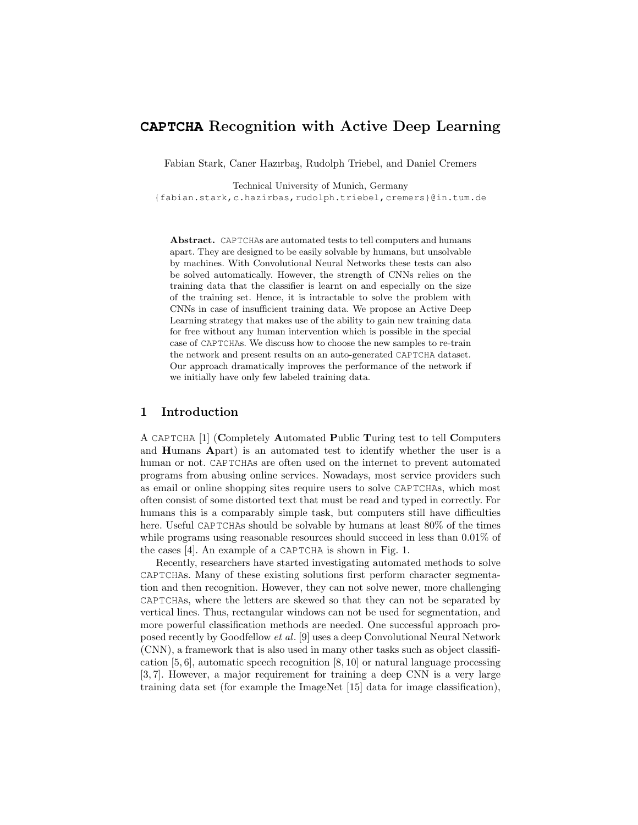# **CAPTCHA** Recognition with Active Deep Learning

Fabian Stark, Caner Hazırbaş, Rudolph Triebel, and Daniel Cremers

Technical University of Munich, Germany

{fabian.stark,c.hazirbas,rudolph.triebel,cremers}@in.tum.de

Abstract. CAPTCHAs are automated tests to tell computers and humans apart. They are designed to be easily solvable by humans, but unsolvable by machines. With Convolutional Neural Networks these tests can also be solved automatically. However, the strength of CNNs relies on the training data that the classifier is learnt on and especially on the size of the training set. Hence, it is intractable to solve the problem with CNNs in case of insufficient training data. We propose an Active Deep Learning strategy that makes use of the ability to gain new training data for free without any human intervention which is possible in the special case of CAPTCHAs. We discuss how to choose the new samples to re-train the network and present results on an auto-generated CAPTCHA dataset. Our approach dramatically improves the performance of the network if we initially have only few labeled training data.

### 1 Introduction

A CAPTCHA [1] (Completely Automated Public Turing test to tell Computers and Humans Apart) is an automated test to identify whether the user is a human or not. CAPTCHAs are often used on the internet to prevent automated programs from abusing online services. Nowadays, most service providers such as email or online shopping sites require users to solve CAPTCHAs, which most often consist of some distorted text that must be read and typed in correctly. For humans this is a comparably simple task, but computers still have difficulties here. Useful CAPTCHAs should be solvable by humans at least 80% of the times while programs using reasonable resources should succeed in less than  $0.01\%$  of the cases [4]. An example of a CAPTCHA is shown in Fig. 1.

Recently, researchers have started investigating automated methods to solve CAPTCHAs. Many of these existing solutions first perform character segmentation and then recognition. However, they can not solve newer, more challenging CAPTCHAs, where the letters are skewed so that they can not be separated by vertical lines. Thus, rectangular windows can not be used for segmentation, and more powerful classification methods are needed. One successful approach proposed recently by Goodfellow et al. [9] uses a deep Convolutional Neural Network (CNN), a framework that is also used in many other tasks such as object classification [5, 6], automatic speech recognition [8, 10] or natural language processing [3, 7]. However, a major requirement for training a deep CNN is a very large training data set (for example the ImageNet [15] data for image classification),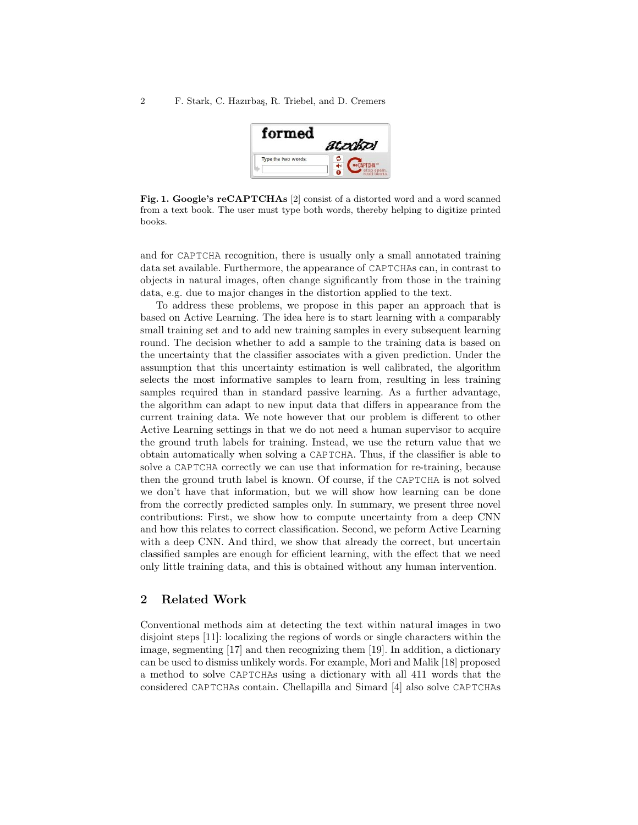| rm                  | <b>DOBDI</b> |  |  |
|---------------------|--------------|--|--|
| Type the two words: | <b>PTCHA</b> |  |  |
|                     | read books.  |  |  |

Fig. 1. Google's reCAPTCHAs [2] consist of a distorted word and a word scanned from a text book. The user must type both words, thereby helping to digitize printed books.

and for CAPTCHA recognition, there is usually only a small annotated training data set available. Furthermore, the appearance of CAPTCHAs can, in contrast to objects in natural images, often change significantly from those in the training data, e.g. due to major changes in the distortion applied to the text.

To address these problems, we propose in this paper an approach that is based on Active Learning. The idea here is to start learning with a comparably small training set and to add new training samples in every subsequent learning round. The decision whether to add a sample to the training data is based on the uncertainty that the classifier associates with a given prediction. Under the assumption that this uncertainty estimation is well calibrated, the algorithm selects the most informative samples to learn from, resulting in less training samples required than in standard passive learning. As a further advantage, the algorithm can adapt to new input data that differs in appearance from the current training data. We note however that our problem is different to other Active Learning settings in that we do not need a human supervisor to acquire the ground truth labels for training. Instead, we use the return value that we obtain automatically when solving a CAPTCHA. Thus, if the classifier is able to solve a CAPTCHA correctly we can use that information for re-training, because then the ground truth label is known. Of course, if the CAPTCHA is not solved we don't have that information, but we will show how learning can be done from the correctly predicted samples only. In summary, we present three novel contributions: First, we show how to compute uncertainty from a deep CNN and how this relates to correct classification. Second, we peform Active Learning with a deep CNN. And third, we show that already the correct, but uncertain classified samples are enough for efficient learning, with the effect that we need only little training data, and this is obtained without any human intervention.

### 2 Related Work

Conventional methods aim at detecting the text within natural images in two disjoint steps [11]: localizing the regions of words or single characters within the image, segmenting [17] and then recognizing them [19]. In addition, a dictionary can be used to dismiss unlikely words. For example, Mori and Malik [18] proposed a method to solve CAPTCHAs using a dictionary with all 411 words that the considered CAPTCHAs contain. Chellapilla and Simard [4] also solve CAPTCHAs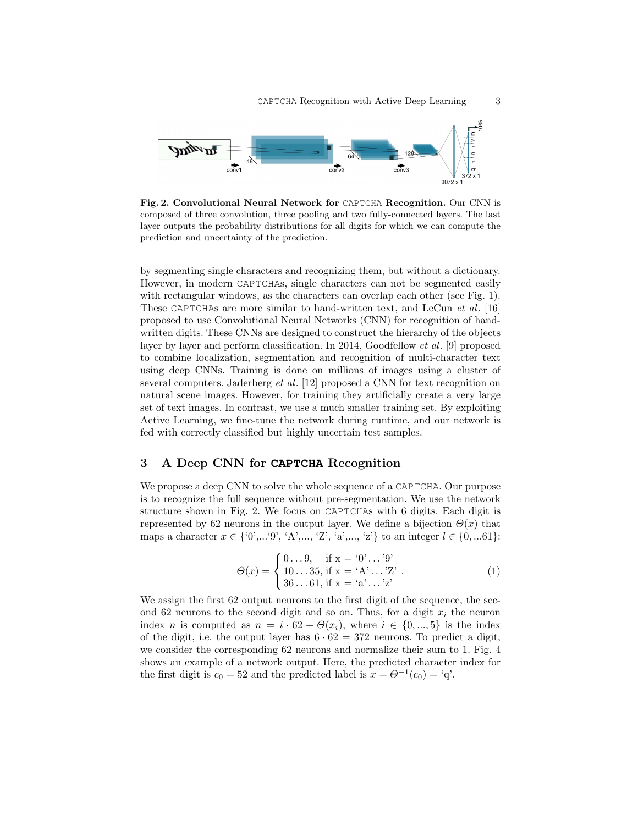

Fig. 2. Convolutional Neural Network for CAPTCHA Recognition. Our CNN is composed of three convolution, three pooling and two fully-connected layers. The last layer outputs the probability distributions for all digits for which we can compute the prediction and uncertainty of the prediction.

by segmenting single characters and recognizing them, but without a dictionary. However, in modern CAPTCHAs, single characters can not be segmented easily with rectangular windows, as the characters can overlap each other (see Fig. 1). These CAPTCHAs are more similar to hand-written text, and LeCun et al. [16] proposed to use Convolutional Neural Networks (CNN) for recognition of handwritten digits. These CNNs are designed to construct the hierarchy of the objects layer by layer and perform classification. In 2014, Goodfellow et al. [9] proposed to combine localization, segmentation and recognition of multi-character text using deep CNNs. Training is done on millions of images using a cluster of several computers. Jaderberg *et al.* [12] proposed a CNN for text recognition on natural scene images. However, for training they artificially create a very large set of text images. In contrast, we use a much smaller training set. By exploiting Active Learning, we fine-tune the network during runtime, and our network is fed with correctly classified but highly uncertain test samples.

## 3 A Deep CNN for **CAPTCHA** Recognition

We propose a deep CNN to solve the whole sequence of a CAPTCHA. Our purpose is to recognize the full sequence without pre-segmentation. We use the network structure shown in Fig. 2. We focus on CAPTCHAs with 6 digits. Each digit is represented by 62 neurons in the output layer. We define a bijection  $\Theta(x)$  that maps a character  $x \in \{0, ..., 9, 'A', ..., 'Z', 'a', ..., 'z'\}$  to an integer  $l \in \{0, ...61\}$ :

$$
\Theta(x) = \begin{cases} 0 \dots 9, & \text{if } x = '0' \dots '9' \\ 10 \dots 35, & \text{if } x = 'A' \dots 'Z' \\ 36 \dots 61, & \text{if } x = 'a' \dots 'z' \end{cases} \tag{1}
$$

We assign the first  $62$  output neurons to the first digit of the sequence, the second 62 neurons to the second digit and so on. Thus, for a digit  $x_i$  the neuron index n is computed as  $n = i \cdot 62 + \Theta(x_i)$ , where  $i \in \{0, ..., 5\}$  is the index of the digit, i.e. the output layer has  $6 \cdot 62 = 372$  neurons. To predict a digit, we consider the corresponding 62 neurons and normalize their sum to 1. Fig. 4 shows an example of a network output. Here, the predicted character index for the first digit is  $c_0 = 52$  and the predicted label is  $x = \Theta^{-1}(c_0) = 'q'.$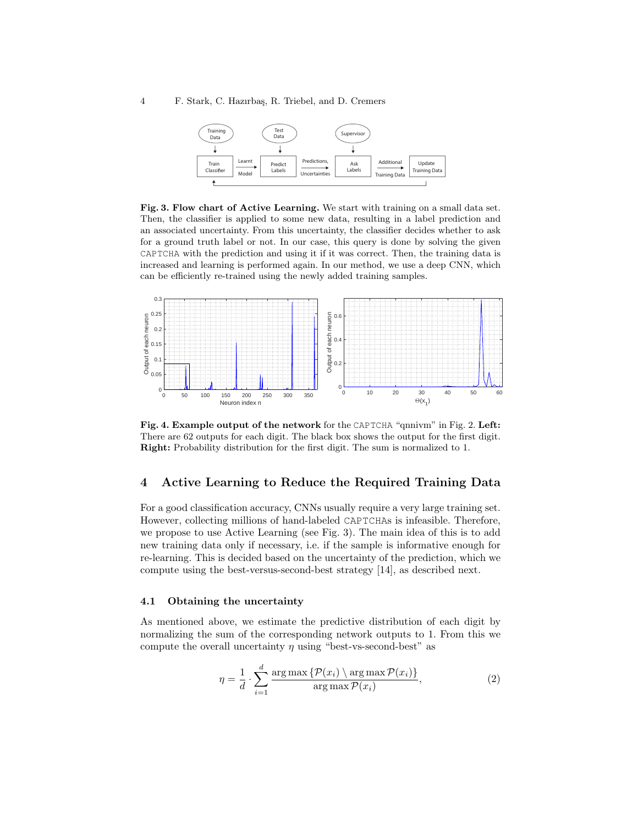

Fig. 3. Flow chart of Active Learning. We start with training on a small data set. Then, the classifier is applied to some new data, resulting in a label prediction and an associated uncertainty. From this uncertainty, the classifier decides whether to ask for a ground truth label or not. In our case, this query is done by solving the given CAPTCHA with the prediction and using it if it was correct. Then, the training data is increased and learning is performed again. In our method, we use a deep CNN, which can be efficiently re-trained using the newly added training samples.



Fig. 4. Example output of the network for the CAPTCHA "qnnivm" in Fig. 2. Left: There are 62 outputs for each digit. The black box shows the output for the first digit. Right: Probability distribution for the first digit. The sum is normalized to 1.

### 4 Active Learning to Reduce the Required Training Data

For a good classification accuracy, CNNs usually require a very large training set. However, collecting millions of hand-labeled CAPTCHAs is infeasible. Therefore, we propose to use Active Learning (see Fig. 3). The main idea of this is to add new training data only if necessary, i.e. if the sample is informative enough for re-learning. This is decided based on the uncertainty of the prediction, which we compute using the best-versus-second-best strategy [14], as described next.

### 4.1 Obtaining the uncertainty

As mentioned above, we estimate the predictive distribution of each digit by normalizing the sum of the corresponding network outputs to 1. From this we compute the overall uncertainty  $\eta$  using "best-vs-second-best" as

$$
\eta = \frac{1}{d} \cdot \sum_{i=1}^{d} \frac{\arg \max \{ \mathcal{P}(x_i) \} \arg \max \mathcal{P}(x_i) \}}{\arg \max \mathcal{P}(x_i)},
$$
\n(2)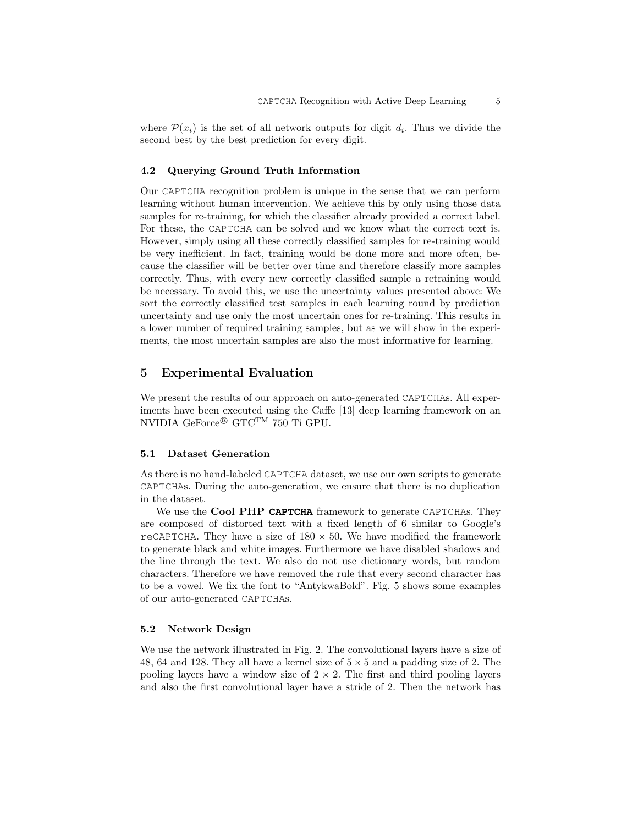where  $\mathcal{P}(x_i)$  is the set of all network outputs for digit  $d_i$ . Thus we divide the second best by the best prediction for every digit.

#### 4.2 Querying Ground Truth Information

Our CAPTCHA recognition problem is unique in the sense that we can perform learning without human intervention. We achieve this by only using those data samples for re-training, for which the classifier already provided a correct label. For these, the CAPTCHA can be solved and we know what the correct text is. However, simply using all these correctly classified samples for re-training would be very inefficient. In fact, training would be done more and more often, because the classifier will be better over time and therefore classify more samples correctly. Thus, with every new correctly classified sample a retraining would be necessary. To avoid this, we use the uncertainty values presented above: We sort the correctly classified test samples in each learning round by prediction uncertainty and use only the most uncertain ones for re-training. This results in a lower number of required training samples, but as we will show in the experiments, the most uncertain samples are also the most informative for learning.

### 5 Experimental Evaluation

We present the results of our approach on auto-generated CAPTCHAS. All experiments have been executed using the Caffe [13] deep learning framework on an NVIDIA GeForce® GTCTM 750 Ti GPU.

#### 5.1 Dataset Generation

As there is no hand-labeled CAPTCHA dataset, we use our own scripts to generate CAPTCHAs. During the auto-generation, we ensure that there is no duplication in the dataset.

We use the Cool PHP **CAPTCHA** framework to generate CAPTCHAs. They are composed of distorted text with a fixed length of 6 similar to Google's reCAPTCHA. They have a size of  $180 \times 50$ . We have modified the framework to generate black and white images. Furthermore we have disabled shadows and the line through the text. We also do not use dictionary words, but random characters. Therefore we have removed the rule that every second character has to be a vowel. We fix the font to "AntykwaBold". Fig. 5 shows some examples of our auto-generated CAPTCHAs.

#### 5.2 Network Design

We use the network illustrated in Fig. 2. The convolutional layers have a size of 48, 64 and 128. They all have a kernel size of  $5 \times 5$  and a padding size of 2. The pooling layers have a window size of  $2 \times 2$ . The first and third pooling layers and also the first convolutional layer have a stride of 2. Then the network has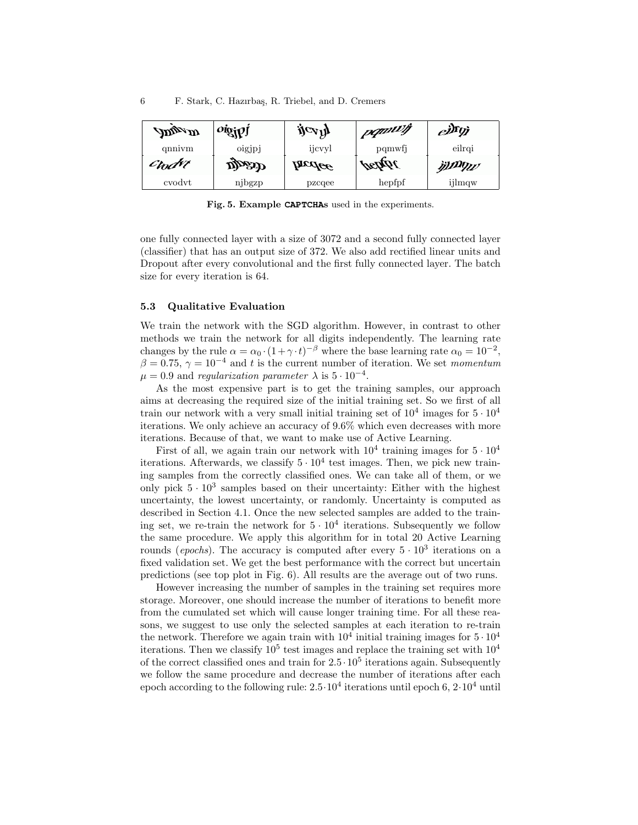| $\mathcal{A}$ and $\mathcal{A}$ | $\overline{\text{oig}}$ | $\mathbf{j}c_{\mathbf{V}}\mathbf{j}$ | pomilit      | $e^{j\hbar y}$ |
|---------------------------------|-------------------------|--------------------------------------|--------------|----------------|
| qnnivm                          | oigjpj                  | ijcvyl                               | pqmwfj       | eilrgi         |
| Crodat                          | Dhaab                   | Incolce                              | <i>pebat</i> | ij)DYW         |
| cvodyt                          | njbgzp                  | pzcqee                               | hepfpf       | ijlmqw         |

Fig. 5. Example **CAPTCHA**s used in the experiments.

one fully connected layer with a size of 3072 and a second fully connected layer (classifier) that has an output size of 372. We also add rectified linear units and Dropout after every convolutional and the first fully connected layer. The batch size for every iteration is 64.

#### 5.3 Qualitative Evaluation

We train the network with the SGD algorithm. However, in contrast to other methods we train the network for all digits independently. The learning rate changes by the rule  $\alpha = \alpha_0 \cdot (1 + \gamma \cdot t)^{-\beta}$  where the base learning rate  $\alpha_0 = 10^{-2}$ ,  $\beta = 0.75$ ,  $\gamma = 10^{-4}$  and t is the current number of iteration. We set momentum  $\mu = 0.9$  and regularization parameter  $\lambda$  is  $5 \cdot 10^{-4}$ .

As the most expensive part is to get the training samples, our approach aims at decreasing the required size of the initial training set. So we first of all train our network with a very small initial training set of  $10^4$  images for  $5 \cdot 10^4$ iterations. We only achieve an accuracy of 9.6% which even decreases with more iterations. Because of that, we want to make use of Active Learning.

First of all, we again train our network with  $10^4$  training images for  $5 \cdot 10^4$ iterations. Afterwards, we classify  $5 \cdot 10^4$  test images. Then, we pick new training samples from the correctly classified ones. We can take all of them, or we only pick  $5 \cdot 10^3$  samples based on their uncertainty: Either with the highest uncertainty, the lowest uncertainty, or randomly. Uncertainty is computed as described in Section 4.1. Once the new selected samples are added to the training set, we re-train the network for  $5 \cdot 10^4$  iterations. Subsequently we follow the same procedure. We apply this algorithm for in total 20 Active Learning rounds (*epochs*). The accuracy is computed after every  $5 \cdot 10^3$  iterations on a fixed validation set. We get the best performance with the correct but uncertain predictions (see top plot in Fig. 6). All results are the average out of two runs.

However increasing the number of samples in the training set requires more storage. Moreover, one should increase the number of iterations to benefit more from the cumulated set which will cause longer training time. For all these reasons, we suggest to use only the selected samples at each iteration to re-train the network. Therefore we again train with  $10^4$  initial training images for  $5 \cdot 10^4$ iterations. Then we classify  $10^5$  test images and replace the training set with  $10^4$ of the correct classified ones and train for  $2.5 \cdot 10^5$  iterations again. Subsequently we follow the same procedure and decrease the number of iterations after each epoch according to the following rule:  $2.5 \cdot 10^4$  iterations until epoch 6,  $2 \cdot 10^4$  until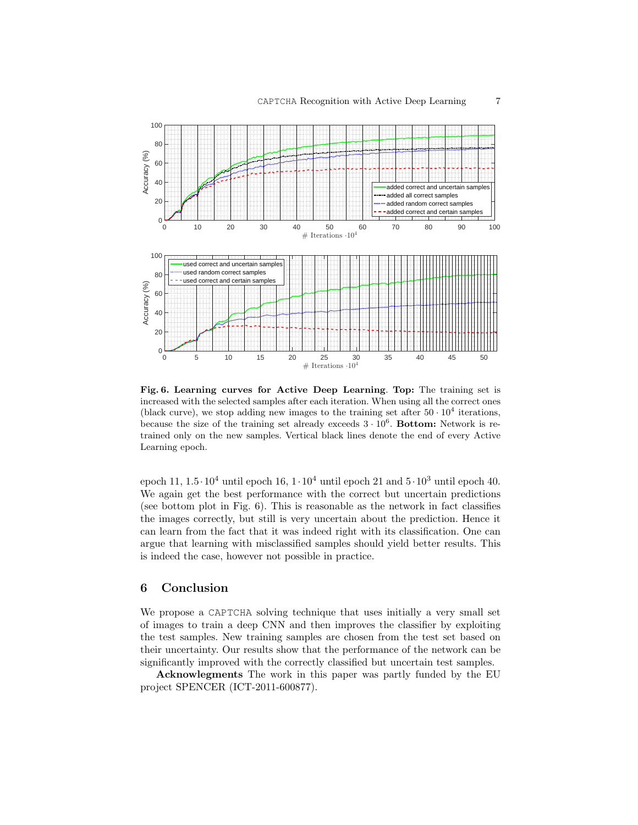

Fig. 6. Learning curves for Active Deep Learning. Top: The training set is increased with the selected samples after each iteration. When using all the correct ones (black curve), we stop adding new images to the training set after  $50 \cdot 10^4$  iterations, because the size of the training set already exceeds  $3 \cdot 10^6$ . Bottom: Network is retrained only on the new samples. Vertical black lines denote the end of every Active Learning epoch.

epoch 11,  $1.5 \cdot 10^4$  until epoch  $16$ ,  $1 \cdot 10^4$  until epoch  $21$  and  $5 \cdot 10^3$  until epoch 40. We again get the best performance with the correct but uncertain predictions (see bottom plot in Fig. 6). This is reasonable as the network in fact classifies the images correctly, but still is very uncertain about the prediction. Hence it can learn from the fact that it was indeed right with its classification. One can argue that learning with misclassified samples should yield better results. This is indeed the case, however not possible in practice.

### 6 Conclusion

We propose a CAPTCHA solving technique that uses initially a very small set of images to train a deep CNN and then improves the classifier by exploiting the test samples. New training samples are chosen from the test set based on their uncertainty. Our results show that the performance of the network can be significantly improved with the correctly classified but uncertain test samples.

Acknowlegments The work in this paper was partly funded by the EU project SPENCER (ICT-2011-600877).